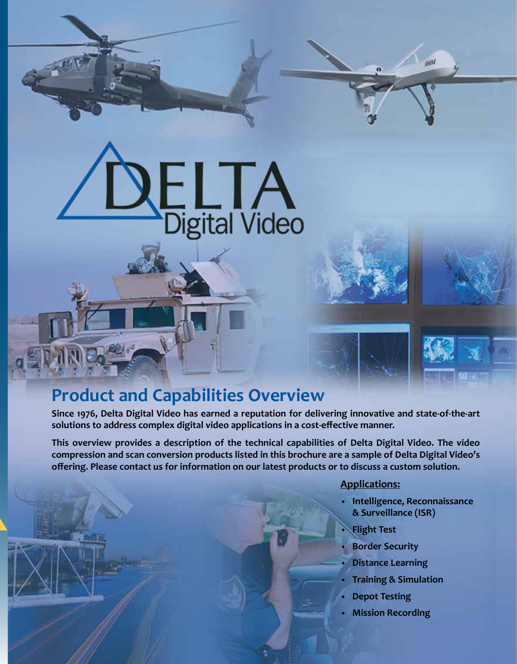# ELTA<br>Digital Video

# **Product and Capabilities Overview**

**Since 1976, Delta Digital Video has earned a reputation for delivering innovative and state-of-the-art solutions to address complex digital video applications in a cost-effective manner.**

**This overview provides a description of the technical capabilities of Delta Digital Video. The video compression and scan conversion products listed in this brochure are a sample of Delta Digital Video's offering. Please contact us for information on our latest products or to discuss a custom solution.**

### **Applications:**

**• Intelligence, Reconnaissance & Surveillance (ISR)**

**ISSUE** 

- **• Flight Test**
- **• Border Security**
- **• Distance Learning**
- **• Training & Simulation**
- **• Depot Testing**
- **• Mission Recording**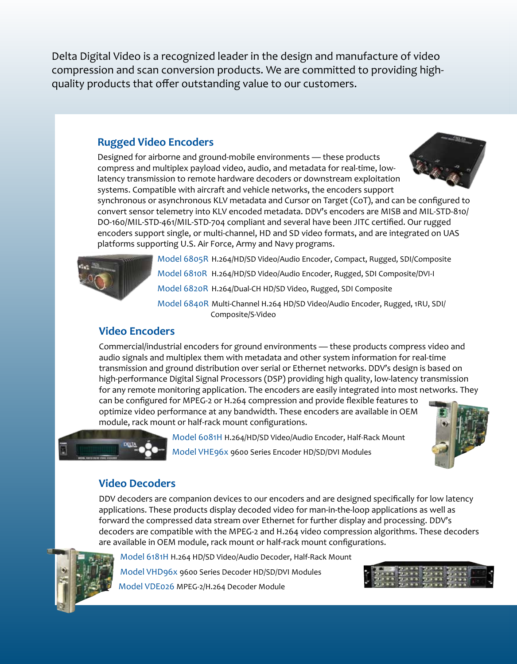Delta Digital Video is a recognized leader in the design and manufacture of video compression and scan conversion products. We are committed to providing highquality products that offer outstanding value to our customers.

### **Rugged Video Encoders**

Designed for airborne and ground-mobile environments — these products compress and multiplex payload video, audio, and metadata for real-time, lowlatency transmission to remote hardware decoders or downstream exploitation systems. Compatible with aircraft and vehicle networks, the encoders support



synchronous or asynchronous KLV metadata and Cursor on Target (CoT), and can be configured to convert sensor telemetry into KLV encoded metadata. DDV's encoders are MISB and MIL-STD-810/ DO-160/MIL-STD-461/MIL-STD-704 compliant and several have been JITC certified. Our rugged encoders support single, or multi-channel, HD and SD video formats, and are integrated on UAS platforms supporting U.S. Air Force, Army and Navy programs.



Model 6805R H.264/HD/SD Video/Audio Encoder, Compact, Rugged, SDI/Composite Model 6810R H.264/HD/SD Video/Audio Encoder, Rugged, SDI Composite/DVI-I Model 6820R H.264/Dual-CH HD/SD Video, Rugged, SDI Composite Model 6840R Multi-Channel H.264 HD/SD Video/Audio Encoder, Rugged, 1RU, SDI/ Composite/S-Video

### **Video Encoders**

Commercial/industrial encoders for ground environments — these products compress video and audio signals and multiplex them with metadata and other system information for real-time transmission and ground distribution over serial or Ethernet networks. DDV's design is based on high-performance Digital Signal Processors (DSP) providing high quality, low-latency transmission for any remote monitoring application. The encoders are easily integrated into most networks. They

can be configured for MPEG-2 or H.264 compression and provide flexible features to optimize video performance at any bandwidth. These encoders are available in OEM module, rack mount or half-rack mount configurations.



Model 6081H H.264/HD/SD Video/Audio Encoder, Half-Rack Mount Model VHE96x 9600 Series Encoder HD/SD/DVI Modules

### **Video Decoders**

DDV decoders are companion devices to our encoders and are designed specifically for low latency applications. These products display decoded video for man-in-the-loop applications as well as forward the compressed data stream over Ethernet for further display and processing. DDV's decoders are compatible with the MPEG-2 and H.264 video compression algorithms. These decoders are available in OEM module, rack mount or half-rack mount configurations.



Model 6181H H.264 HD/SD Video/Audio Decoder, Half-Rack Mount Model VHD96x 9600 Series Decoder HD/SD/DVI Modules Model VDE026 MPEG-2/H.264 Decoder Module

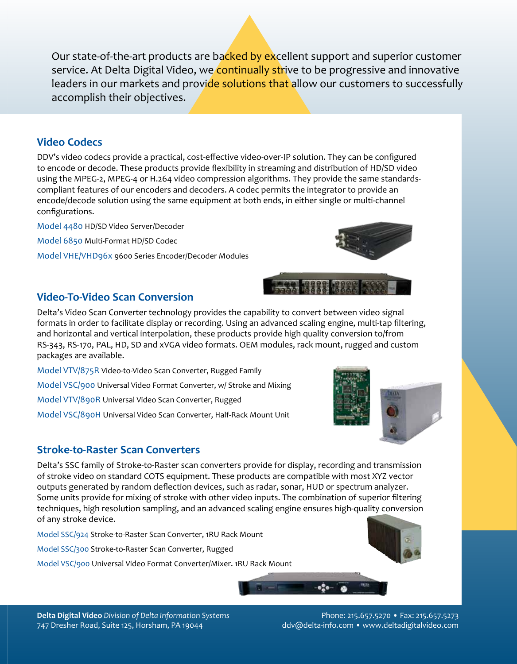Our state-of-the-art products are backed by excellent support and superior customer service. At Delta Digital Video, we continually strive to be progressive and innovative leaders in our markets and provide solutions that allow our customers to successfully accomplish their objectives.

### **Video Codecs**

DDV's video codecs provide a practical, cost-effective video-over-IP solution. They can be configured to encode or decode. These products provide flexibility in streaming and distribution of HD/SD video using the MPEG-2, MPEG-4 or H.264 video compression algorithms. They provide the same standardscompliant features of our encoders and decoders. A codec permits the integrator to provide an encode/decode solution using the same equipment at both ends, in either single or multi-channel configurations.

Model 4480 HD/SD Video Server/Decoder Model 6850 Multi-Format HD/SD Codec Model VHE/VHD96x 9600 Series Encoder/Decoder Modules



12222

## **Video-To-Video Scan Conversion**

Delta's Video Scan Converter technology provides the capability to convert between video signal formats in order to facilitate display or recording. Using an advanced scaling engine, multi-tap filtering, and horizontal and vertical interpolation, these products provide high quality conversion to/from RS-343, RS-170, PAL, HD, SD and xVGA video formats. OEM modules, rack mount, rugged and custom packages are available.

Model VTV/875R Video-to-Video Scan Converter, Rugged Family

Model VSC/900 Universal Video Format Converter, w/ Stroke and Mixing

Model VTV/890R Universal Video Scan Converter, Rugged

Model VSC/890H Universal Video Scan Converter, Half-Rack Mount Unit

### **Stroke-to-Raster Scan Converters**

Delta's SSC family of Stroke-to-Raster scan converters provide for display, recording and transmission of stroke video on standard COTS equipment. These products are compatible with most XYZ vector outputs generated by random deflection devices, such as radar, sonar, HUD or spectrum analyzer. Some units provide for mixing of stroke with other video inputs. The combination of superior filtering techniques, high resolution sampling, and an advanced scaling engine ensures high-quality conversion of any stroke device.

Model SSC/924 Stroke-to-Raster Scan Converter, 1RU Rack Mount

Model SSC/300 Stroke-to-Raster Scan Converter, Rugged

Model VSC/900 Universal Video Format Converter/Mixer. 1RU Rack Mount

747 Dresher Road, Suite 125, Horsham, PA 19044 ddv@delta-info.com • www.deltadigitalvideo.com